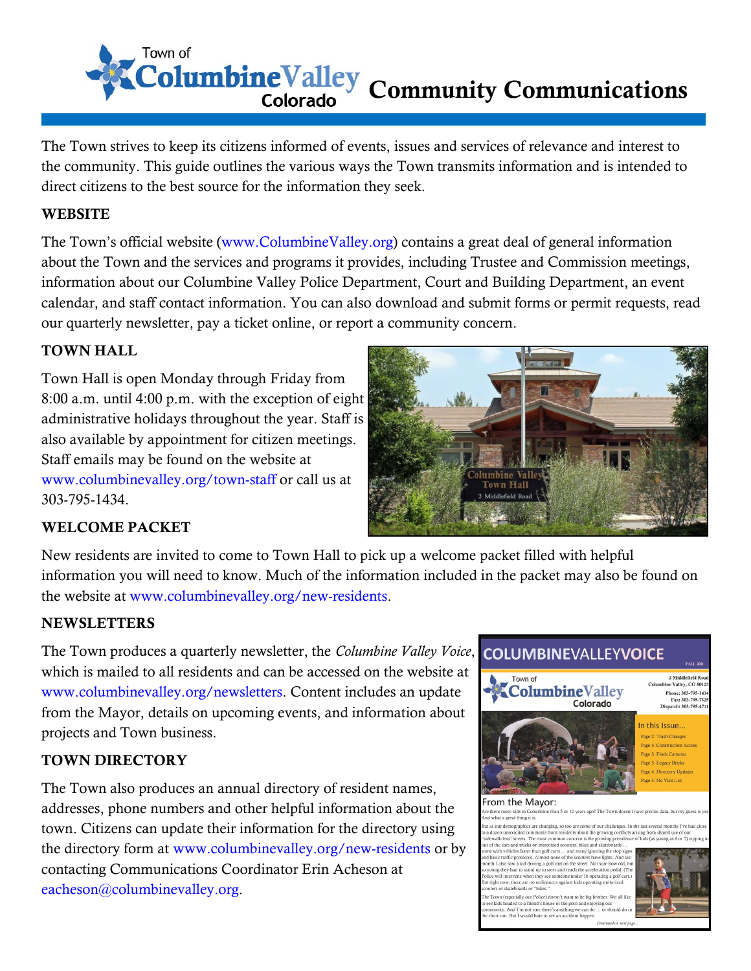Town of ColumbineValley Community Communications

The Town strives to keep its citizens informed of events, issues and services of relevance and interest to the community. This guide outlines the various ways the Town transmits information and is intended to direct citizens to the best source for the information they seek.

#### **WEBSITE**

The Town's official website (www.ColumbineValley.org) contains a great deal of general information about the Town and the services and programs it provides, including Trustee and Commission meetings, information about our Columbine Valley Police Department, Court and Building Department, an event calendar, and staff contact information. You can also download and submit forms or permit requests, read our quarterly newsletter, pay a ticket online, or report a community concern.

#### TOWN HALL

Town Hall is open Monday through Friday from 8:00 a.m. until 4:00 p.m. with the exception of eight administrative holidays throughout the year. Staff is also available by appointment for citizen meetings. Staff emails may be found on the website at www.columbinevalley.org/town-staff or call us at 303-795-1434.



#### WELCOME PACKET

New residents are invited to come to Town Hall to pick up a welcome packet filled with helpful information you will need to know. Much of the information included in the packet may also be found on the website at www.columbinevalley.org/new-residents.

#### **NEWSLETTERS**

The Town produces a quarterly newsletter, the *Columbine Valley Voice*, which is mailed to all residents and can be accessed on the website at www.columbinevalley.org/newsletters. Content includes an update from the Mayor, details on upcoming events, and information about projects and Town business.

#### TOWN DIRECTORY

The Town also produces an annual directory of resident names, addresses, phone numbers and other helpful information about the town. Citizens can update their information for the directory using the directory form at www.columbinevalley.org/new-residents or by contacting Communications Coordinator Erin Acheson at eacheson@columbinevalley.org.



Page 2: Trash Changes Page 3: Legacy Bricks Page 4: Directory Upda

2 Middlefield Roa

#### rom the Mayor: re kids in Colt<br>great thing it is ne than 5 or 10 years ago? The Town doesn't have precise data

raphics are changing, so too are some of our challenges. In the last se comments from residents about the growing conflicts arising from shared use of our The most common concern is the growing prevalence of kids (as young as 6 or 7) ziputs and out of shared scooters, bikes and skateboards ...

r skateboards or "bikes.

Conservative controller and the big brother. We all like<br>the sheaded to a friend's house or the pool and enjoying our<br>ty. And I'm not sure there's anything we can do ... or should do in<br>The Burl T'm not sure there's anythi